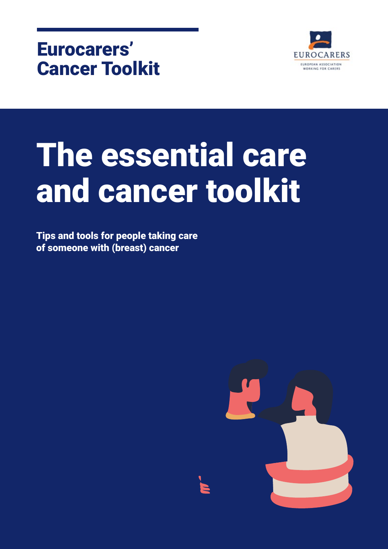

# The essential care and cancer toolkit

Tips and tools for people taking care of someone with (breast) cancer

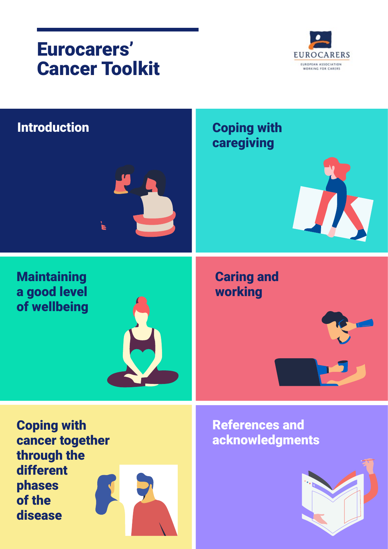

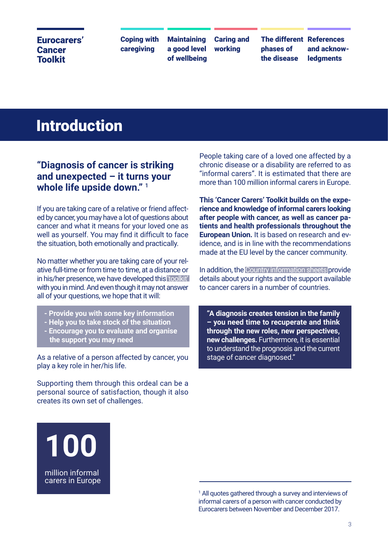Coping with caregiving

**Maintaining** a good level of wellbeing Caring and working

The different References phases of the disease

and acknow**ledaments** 

## Introduction

#### **"Diagnosis of cancer is striking and unexpected – it turns your whole life upside down."** <sup>1</sup>

If you are taking care of a relative or friend affected by cancer, you may have a lot of questions about cancer and what it means for your loved one as well as yourself. You may find it difficult to face the situation, both emotionally and practically.

No matter whether you are taking care of your relative full-time or from time to time, at a distance or in his/her presence, we have developed this 'toolkit' with you in mind. And even though it may not answer all of your questions, we hope that it will:

- **Provide you with some key information**
- **Help you to take stock of the situation**
- **Encourage you to evaluate and organise the support you may need**

As a relative of a person affected by cancer, you play a key role in her/his life.

Supporting them through this ordeal can be a personal source of satisfaction, though it also creates its own set of challenges.

People taking care of a loved one affected by a chronic disease or a disability are referred to as "informal carers". It is estimated that there are more than 100 million informal carers in Europe.

**This 'Cancer Carers' Toolkit builds on the experience and knowledge of informal carers looking after people with cancer, as well as cancer patients and health professionals throughout the European Union.** It is based on research and evidence, and is in line with the recommendations made at the EU level by the cancer community.

In addition, the Country information sheets provide details about your rights and the support available to cancer carers in a number of countries.

**"A diagnosis creates tension in the family – you need time to recuperate and think through the new roles, new perspectives, new challenges.** Furthermore, it is essential to understand the prognosis and the current stage of cancer diagnosed."

**100** million informal carers in Europe

> <sup>1</sup> All quotes gathered through a survey and interviews of informal carers of a person with cancer conducted by Eurocarers between November and December 2017.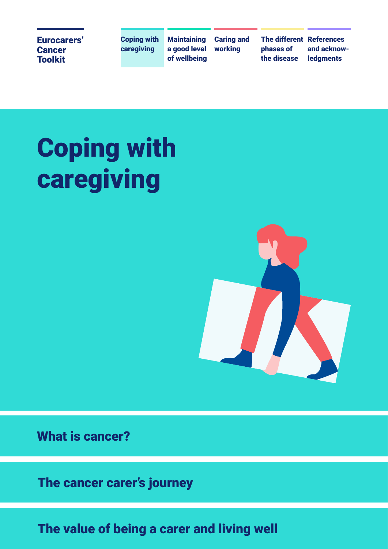Coping with caregiving

**Maintaining** a good level of wellbeing Caring and working

The different References phases of the disease

and acknowledgments

# Coping with caregiving



What is cancer?

The cancer carer's journey

The value of being a carer and living well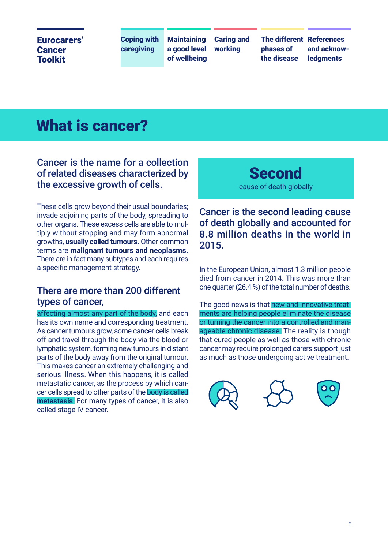Coping with caregiving

**Maintaining** a good level of wellbeing Caring and working

phases of the disease

The different References and acknow**ledaments** 

## What is cancer?

### Cancer is the name for a collection of related diseases characterized by the excessive growth of cells.

These cells grow beyond their usual boundaries; invade adjoining parts of the body, spreading to other organs. These excess cells are able to multiply without stopping and may form abnormal growths, **usually called tumours.** Other common terms are **malignant tumours and neoplasms.**  There are in fact many subtypes and each requires a specific management strategy.

### There are more than 200 different types of cancer,

affecting almost any part of the body, and each has its own name and corresponding treatment. As cancer tumours grow, some cancer cells break off and travel through the body via the blood or lymphatic system, forming new tumours in distant parts of the body away from the original tumour. This makes cancer an extremely challenging and serious illness. When this happens, it is called metastatic cancer, as the process by which cancer cells spread to other parts of the body is called **metastasis**. For many types of cancer, it is also called stage IV cancer.

### **Second** cause of death globally

### Cancer is the second leading cause of death globally and accounted for 8.8 million deaths in the world in 2015.

In the European Union, almost 1.3 million people died from cancer in 2014. This was more than one quarter (26.4 %) of the total number of deaths.

The good news is that new and innovative treatments are helping people eliminate the disease or turning the cancer into a controlled and manageable chronic disease. The reality is though that cured people as well as those with chronic cancer may require prolonged carers support just as much as those undergoing active treatment.





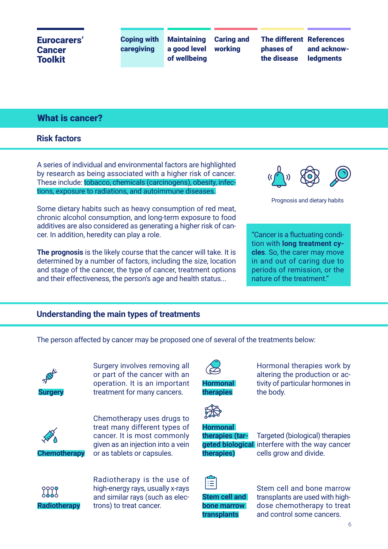Coping with caregiving

**Maintaining** a good level of wellbeing Caring and working

The different References phases of the disease

and acknow**ledaments** 

#### What is cancer?

#### **Risk factors**

A series of individual and environmental factors are highlighted by research as being associated with a higher risk of cancer. These include: tobacco, chemicals (carcinogens), obesity, infections, exposure to radiations, and autoimmune diseases.

Some dietary habits such as heavy consumption of red meat, chronic alcohol consumption, and long-term exposure to food additives are also considered as generating a higher risk of cancer. In addition, heredity can play a role.

**The prognosis** is the likely course that the cancer will take. It is determined by a number of factors, including the size, location and stage of the cancer, the type of cancer, treatment options and their effectiveness, the person's age and health status...



Prognosis and dietary habits

"Cancer is a fluctuating condition with **long treatment cycles**. So, the carer may move in and out of caring due to periods of remission, or the nature of the treatment."

#### **Understanding the main types of treatments**

The person affected by cancer may be proposed one of several of the treatments below:



Surgery involves removing all or part of the cancer with an operation. It is an important treatment for many cancers.



**Chemotherapy**

Chemotherapy uses drugs to treat many different types of cancer. It is most commonly given as an injection into a vein or as tablets or capsules.



Radiotherapy is the use of high-energy rays, usually x-rays and similar rays (such as electrons) to treat cancer.



**therapies**

Hormonal therapies work by altering the production or activity of particular hormones in the body.



#### **Hormonal**

**therapies (tartherapies)**

Targeted (biological) therapies **geted biological** interfere with the way cancer cells grow and divide.



**Stem cell and bone marrow** 

**transplants**

Stem cell and bone marrow transplants are used with highdose chemotherapy to treat and control some cancers.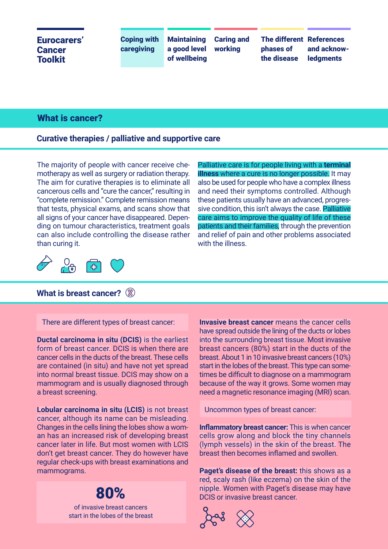### Cancer **Toolkit**

Coping with caregiving

**Maintaining** a good level of wellbeing Caring and working

The different References phases of the disease

and acknow**ledaments** 

#### What is cancer?

#### **Curative therapies / palliative and supportive care**

The majority of people with cancer receive chemotherapy as well as surgery or radiation therapy. The aim for curative therapies is to eliminate all cancerous cells and "cure the cancer," resulting in "complete remission." Complete remission means that tests, physical exams, and scans show that all signs of your cancer have disappeared. Depending on tumour characteristics, treatment goals can also include controlling the disease rather than curing it. **Eurocarers'** Coping wi<br> **Cancer**<br> **Cancer**<br> **Cancer**<br> **Cancer**<br> **Cancer**<br> **Cancer**<br> **Cancer**<br> **Cancer**<br> **Cancer**<br> **Cancer**<br> **Cancer**<br> **Cancer**<br> **Cancer**<br> **Cancer**<br> **Cancer**<br> **Cancer**<br> **Cancer**<br> **Cancer**<br> **Cancer**<br> **Cance** 

Palliative care is for people living with a **terminal illness** where a cure is no longer possible. It may also be used for people who have a complex illness and need their symptoms controlled. Although these patients usually have an advanced, progressive condition, this isn't always the case. Palliative care aims to improve the quality of life of these patients and their families, through the prevention and relief of pain and other problems associated with the illness.



#### **What is breast cancer?**

There are different types of breast cancer:

**Ductal carcinoma in situ (DCIS)** is the earliest form of breast cancer. DCIS is when there are cancer cells in the ducts of the breast. These cells are contained (in situ) and have not yet spread into normal breast tissue. DCIS may show on a mammogram and is usually diagnosed through a breast screening.

**Lobular carcinoma in situ (LCIS)** is not breast cancer, although its name can be misleading. Changes in the cells lining the lobes show a woman has an increased risk of developing breast cancer later in life. But most women with LCIS don't get breast cancer. They do however have regular check-ups with breast examinations and mammograms.

of invasive breast cancers

**Invasive breast cancer** means the cancer cells have spread outside the lining of the ducts or lobes into the surrounding breast tissue. Most invasive breast cancers (80%) start in the ducts of the breast. About 1 in 10 invasive breast cancers (10%) start in the lobes of the breast. This type can sometimes be difficult to diagnose on a mammogram because of the way it grows. Some women may need a magnetic resonance imaging (MRI) scan.

Uncommon types of breast cancer:

**Inflammatory breast cancer:** This is when cancer cells grow along and block the tiny channels (lymph vessels) in the skin of the breast. The breast then becomes inflamed and swollen.

**Paget's disease of the breast:** this shows as a red, scaly rash (like eczema) on the skin of the **80%** DCIS or invasive breast cancer.

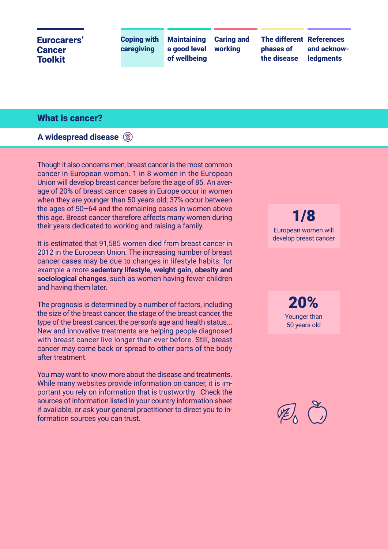Coping with caregiving

**Maintaining** a good level of wellbeing Caring and working

The different References phases of the disease

and acknow**ledaments** 

#### What is cancer?

**A widespread disease**

Though it also concerns men, breast cancer is the most common cancer in European woman. 1 in 8 women in the European Union will develop breast cancer before the age of 85. An average of 20% of breast cancer cases in Europe occur in women when they are younger than 50 years old; 37% occur between the ages of 50–64 and the remaining cases in women above this age. Breast cancer therefore affects many women during their years dedicated to working and raising a family.

It is estimated that 91,585 women died from breast cancer in 2012 in the European Union. The increasing number of breast cancer cases may be due to changes in lifestyle habits: for example a more **sedentary lifestyle, weight gain, obesity and sociological changes**, such as women having fewer children and having them later.

The prognosis is determined by a number of factors, including the size of the breast cancer, the stage of the breast cancer, the type of the breast cancer, the person's age and health status... New and innovative treatments are helping people diagnosed with breast cancer live longer than ever before. Still, breast cancer may come back or spread to other parts of the body after treatment.

You may want to know more about the disease and treatments. While many websites provide information on cancer, it is important you rely on information that is trustworthy. Check the sources of information listed in your country information sheet if available, or ask your general practitioner to direct you to information sources you can trust.

1/8 European women will develop breast cancer

> 20% Younger than 50 years old

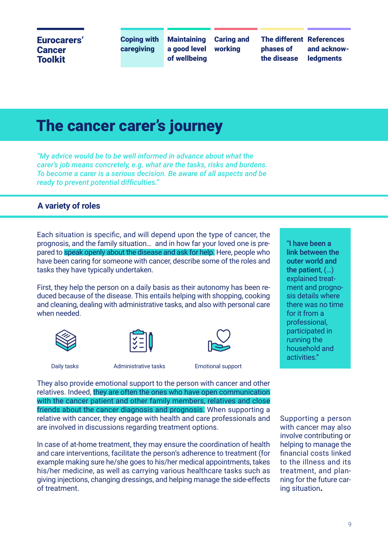Coping with caregiving

**Maintaining** a good level of wellbeing Caring and working

phases of the disease

The different References and acknow**ledaments** 

## The cancer carer's journey

*"My advice would be to be well informed in advance about what the carer's job means concretely, e.g. what are the tasks, risks and burdens. To become a carer is a serious decision. Be aware of all aspects and be ready to prevent potential difficulties."*

#### **A variety of roles**

Each situation is specific, and will depend upon the type of cancer, the prognosis, and the family situation… and in how far your loved one is prepared to speak openly about the disease and ask for help. Here, people who have been caring for someone with cancer, describe some of the roles and tasks they have typically undertaken.

First, they help the person on a daily basis as their autonomy has been reduced because of the disease. This entails helping with shopping, cooking and cleaning, dealing with administrative tasks, and also with personal care when needed.







Daily tasks **Administrative tasks** Emotional support

They also provide emotional support to the person with cancer and other relatives. Indeed, they are often the ones who have open communication with the cancer patient and other family members, relatives and close friends about the cancer diagnosis and prognosis. When supporting a relative with cancer, they engage with health and care professionals and are involved in discussions regarding treatment options.

In case of at-home treatment, they may ensure the coordination of health and care interventions, facilitate the person's adherence to treatment (for example making sure he/she goes to his/her medical appointments, takes his/her medicine, as well as carrying various healthcare tasks such as giving injections, changing dressings, and helping manage the side-effects of treatment.

"I have been a link between the outer world and the patient, (…) explained treatment and prognosis details where there was no time for it from a professional, participated in running the household and activities."

Supporting a person with cancer may also involve contributing or helping to manage the financial costs linked to the illness and its treatment, and planning for the future caring situation**.**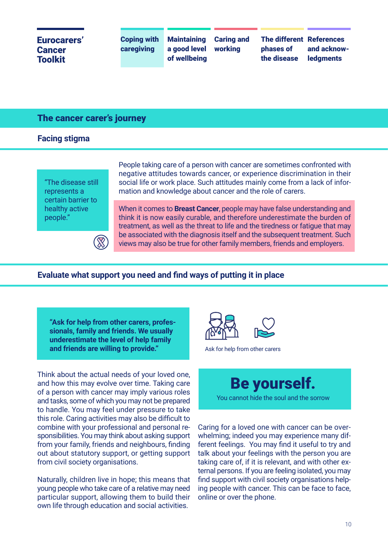Coping with caregiving

**Maintaining** a good level of wellbeing Caring and working

The different References phases of the disease

and acknow**ledaments** 

#### The cancer carer's journey

**Facing stigma**

"The disease still represents a certain barrier to healthy active people."

People taking care of a person with cancer are sometimes confronted with negative attitudes towards cancer, or experience discrimination in their social life or work place. Such attitudes mainly come from a lack of information and knowledge about cancer and the role of carers.

When it comes to **Breast Cancer**, people may have false understanding and think it is now easily curable, and therefore underestimate the burden of treatment, as well as the threat to life and the tiredness or fatigue that may be associated with the diagnosis itself and the subsequent treatment. Such views may also be true for other family members, friends and employers.

**Evaluate what support you need and find ways of putting it in place**

**"Ask for help from other carers, professionals, family and friends. We usually underestimate the level of help family and friends are willing to provide."**

 $\widehat{\mathbb{X}}$ 

Think about the actual needs of your loved one, and how this may evolve over time. Taking care of a person with cancer may imply various roles and tasks, some of which you may not be prepared to handle. You may feel under pressure to take this role. Caring activities may also be difficult to combine with your professional and personal responsibilities. You may think about asking support from your family, friends and neighbours, finding out about statutory support, or getting support from civil society organisations.

Naturally, children live in hope; this means that young people who take care of a relative may need particular support, allowing them to build their own life through education and social activities.



Ask for help from other carers

Be yourself.

You cannot hide the soul and the sorrow

Caring for a loved one with cancer can be overwhelming; indeed you may experience many different feelings. You may find it useful to try and talk about your feelings with the person you are taking care of, if it is relevant, and with other external persons. If you are feeling isolated, you may find support with civil society organisations helping people with cancer. This can be face to face, online or over the phone.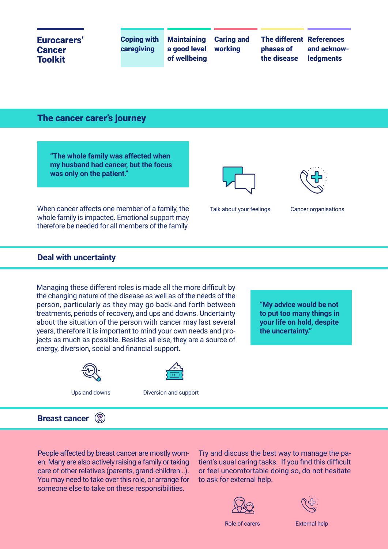Coping with caregiving

**Maintaining** a good level of wellbeing Caring and working

The different References phases of the disease

and acknow**ledaments** 

The cancer carer's journey

**"The whole family was affected when my husband had cancer, but the focus was only on the patient."**

When cancer affects one member of a family, the whole family is impacted. Emotional support may therefore be needed for all members of the family.





Cancer organisations

#### **Deal with uncertainty**

Managing these different roles is made all the more difficult by the changing nature of the disease as well as of the needs of the person, particularly as they may go back and forth between treatments, periods of recovery, and ups and downs. Uncertainty about the situation of the person with cancer may last several years, therefore it is important to mind your own needs and projects as much as possible. Besides all else, they are a source of energy, diversion, social and financial support.



Ups and downs



Diversion and support

**"My advice would be not to put too many things in your life on hold, despite the uncertainty."**

**Breast cancer**  $\mathbb{R}$ 

People affected by breast cancer are mostly women. Many are also actively raising a family or taking care of other relatives (parents, grand-children…). You may need to take over this role, or arrange for someone else to take on these responsibilities.

Try and discuss the best way to manage the patient's usual caring tasks. If you find this difficult or feel uncomfortable doing so, do not hesitate to ask for external help.





Role of carers **External help**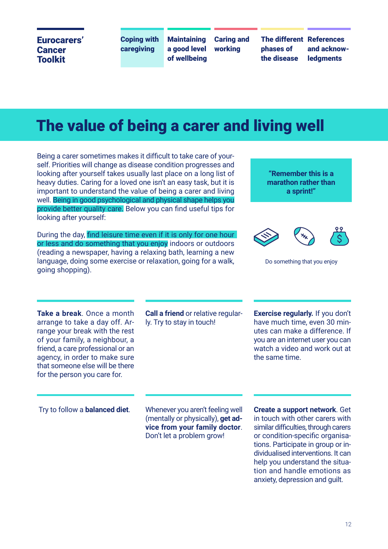Coping with caregiving

**Maintaining** a good level of wellbeing Caring and working

phases of the disease

The different References and acknow**ledaments** 

## The value of being a carer and living well

Being a carer sometimes makes it difficult to take care of yourself. Priorities will change as disease condition progresses and looking after yourself takes usually last place on a long list of heavy duties. Caring for a loved one isn't an easy task, but it is important to understand the value of being a carer and living well. Being in good psychological and physical shape helps you provide better quality care. Below you can find useful tips for looking after yourself:

During the day, find leisure time even if it is only for one hour or less and do something that you enjoy indoors or outdoors (reading a newspaper, having a relaxing bath, learning a new language, doing some exercise or relaxation, going for a walk, going shopping).

#### **"Remember this is a marathon rather than a sprint!"**



```
Do something that you enjoy
```
**Take a break**. Once a month arrange to take a day off. Arrange your break with the rest of your family, a neighbour, a friend, a care professional or an agency, in order to make sure that someone else will be there for the person you care for.

**Call a friend** or relative regularly. Try to stay in touch!

**Exercise regularly.** If you don't have much time, even 30 minutes can make a difference. If you are an internet user you can watch a video and work out at the same time.

 Try to follow a **balanced diet**. Whenever you aren't feeling well (mentally or physically), **get advice from your family doctor**. Don't let a problem grow!

**Create a support network**. Get in touch with other carers with similar difficulties, through carers or condition-specific organisations. Participate in group or individualised interventions. It can help you understand the situation and handle emotions as anxiety, depression and guilt.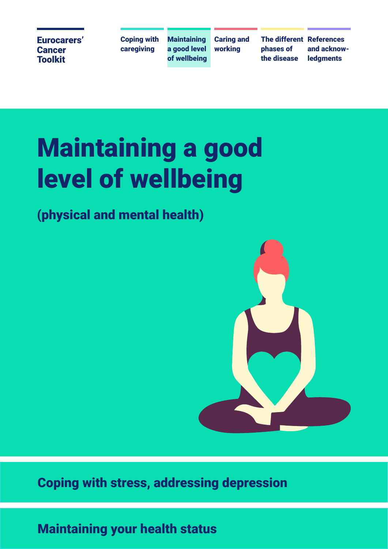Coping with caregiving

**Maintaining** a good level of wellbeing

Caring and working

The different References phases of the disease

and acknow**ledaments** 

## Maintaining a good level of wellbeing

## (physical and mental health)



## Coping with stress, addressing depression

## Maintaining your health status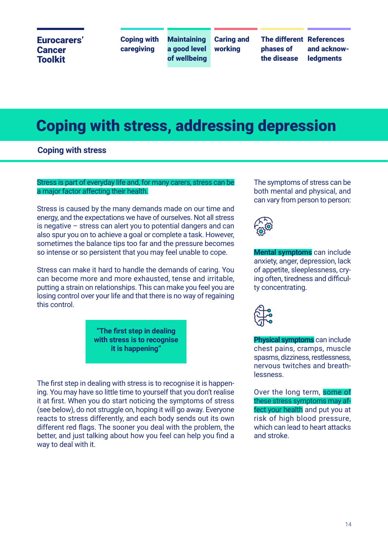Coping with caregiving

**Maintaining** a good level of wellbeing

Caring and working

The different References phases of the disease

and acknow**ledaments** 

## Coping with stress, addressing depression

**Coping with stress**

#### Stress is part of everyday life and, for many carers, stress can be a major factor affecting their health.

Stress is caused by the many demands made on our time and energy, and the expectations we have of ourselves. Not all stress is negative – stress can alert you to potential dangers and can also spur you on to achieve a goal or complete a task. However, sometimes the balance tips too far and the pressure becomes so intense or so persistent that you may feel unable to cope.

Stress can make it hard to handle the demands of caring. You can become more and more exhausted, tense and irritable, putting a strain on relationships. This can make you feel you are losing control over your life and that there is no way of regaining this control.

> **"The first step in dealing with stress is to recognise it is happening"**

The first step in dealing with stress is to recognise it is happening. You may have so little time to yourself that you don't realise it at first. When you do start noticing the symptoms of stress (see below), do not struggle on, hoping it will go away. Everyone reacts to stress differently, and each body sends out its own different red flags. The sooner you deal with the problem, the better, and just talking about how you feel can help you find a way to deal with it.

The symptoms of stress can be both mental and physical, and can vary from person to person:



**Mental symptoms** can include anxiety, anger, depression, lack of appetite, sleeplessness, crying often, tiredness and difficulty concentrating.



**Physical symptoms** can include chest pains, cramps, muscle spasms, dizziness, restlessness, nervous twitches and breathlessness.

Over the long term, some of these stress symptoms may affect your health and put you at risk of high blood pressure, which can lead to heart attacks and stroke.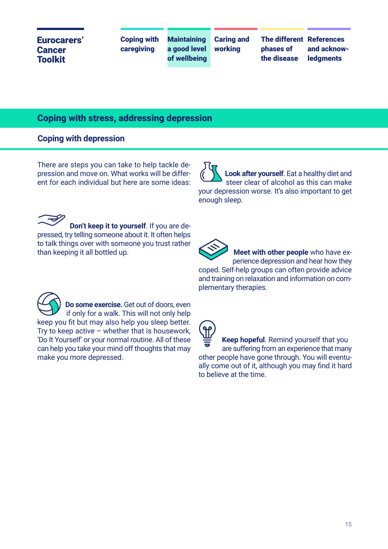| a good level working<br>caregiving<br>phases of<br><b>Cancer</b> | Eurocarers'    | <b>Coping with</b> | <b>Maintaining</b> | <b>Caring and</b> | <b>The different References</b> |                                 |
|------------------------------------------------------------------|----------------|--------------------|--------------------|-------------------|---------------------------------|---------------------------------|
|                                                                  | <b>Toolkit</b> |                    | of wellbeing       |                   | the disease                     | and acknow-<br><b>ledgments</b> |

#### Coping with stress, addressing depression

#### **Coping with depression**

There are steps you can take to help tackle depression and move on. What works will be different for each individual but here are some ideas:

 **Look after yourself**. Eat a healthy diet and steer clear of alcohol as this can make your depression worse. It's also important to get enough sleep.

 **Don't keep it to yourself**. If you are depressed, try telling someone about it. It often helps to talk things over with someone you trust rather than keeping it all bottled up.

 **Do some exercise.** Get out of doors, even if only for a walk. This will not only help keep you fit but may also help you sleep better. Try to keep active  $-$  whether that is housework, 'Do It Yourself' or your normal routine. All of these can help you take your mind off thoughts that may make you more depressed.

 **Meet with other people** who have ex perience depression and hear how they coped. Self-help groups can often provide advice and training on relaxation and information on complementary therapies.

**Keep hopeful**. Remind yourself that you are suffering from an experience that many other people have gone through. You will eventually come out of it, although you may find it hard to believe at the time.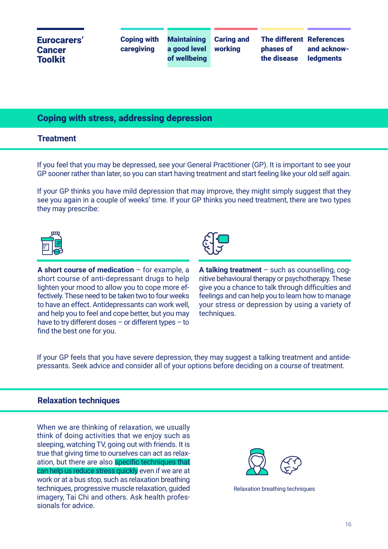| Eurocarers'<br><b>Cancer</b><br><b>Toolkit</b> | <b>Coping with Maintaining Caring and</b><br>caregiving | a good level<br>of wellbeing | workina | <b>The different References</b><br>phases of<br>the disease | and acknow-<br><b>ledgments</b> |
|------------------------------------------------|---------------------------------------------------------|------------------------------|---------|-------------------------------------------------------------|---------------------------------|
|------------------------------------------------|---------------------------------------------------------|------------------------------|---------|-------------------------------------------------------------|---------------------------------|

#### Coping with stress, addressing depression

#### **Treatment**

If you feel that you may be depressed, see your General Practitioner (GP). It is important to see your GP sooner rather than later, so you can start having treatment and start feeling like your old self again.

If your GP thinks you have mild depression that may improve, they might simply suggest that they see you again in a couple of weeks' time. If your GP thinks you need treatment, there are two types they may prescribe:



**A short course of medication** – for example, a short course of anti-depressant drugs to help lighten your mood to allow you to cope more effectively. These need to be taken two to four weeks to have an effect. Antidepressants can work well, and help you to feel and cope better, but you may have to try different doses – or different types – to find the best one for you.



**A talking treatment** – such as counselling, cognitive behavioural therapy or psychotherapy. These give you a chance to talk through difficulties and feelings and can help you to learn how to manage your stress or depression by using a variety of techniques.

If your GP feels that you have severe depression, they may suggest a talking treatment and antidepressants. Seek advice and consider all of your options before deciding on a course of treatment.

#### **Relaxation techniques**

When we are thinking of relaxation, we usually think of doing activities that we enjoy such as sleeping, watching TV, going out with friends. It is true that giving time to ourselves can act as relaxation, but there are also specific techniques that can help us reduce stress quickly even if we are at work or at a bus stop, such as relaxation breathing techniques, progressive muscle relaxation, guided imagery, Tai Chi and others. Ask health professionals for advice.



Relaxation breathing techniques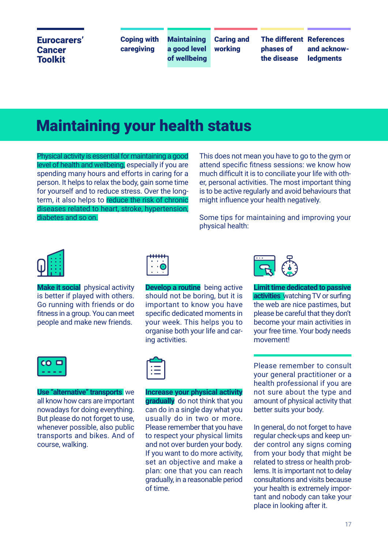Coping with caregiving

**Maintaining** a good level of wellbeing

Caring and working

The different References phases of the disease

and acknow**ledaments** 

## Maintaining your health status

Physical activity is essential for maintaining a good level of health and wellbeing, especially if you are spending many hours and efforts in caring for a person. It helps to relax the body, gain some time for yourself and to reduce stress. Over the longterm, it also helps to reduce the risk of chronic diseases related to heart, stroke, hypertension, diabetes and so on.

This does not mean you have to go to the gym or attend specific fitness sessions: we know how much difficult it is to conciliate your life with other, personal activities. The most important thing is to be active regularly and avoid behaviours that might influence your health negatively.

Some tips for maintaining and improving your physical health:



**Make it social** physical activity is better if played with others. Go running with friends or do fitness in a group. You can meet people and make new friends.



**Develop a routine** being active should not be boring, but it is important to know you have specific dedicated moments in your week. This helps you to organise both your life and caring activities.



**Limit time dedicated to passive activities** watching TV or surfing the web are nice pastimes, but please be careful that they don't become your main activities in your free time. Your body needs movement!



**Use "alternative" transports** we all know how cars are important nowadays for doing everything. But please do not forget to use, whenever possible, also public transports and bikes. And of course, walking.



**Increase your physical activity gradually** do not think that you can do in a single day what you usually do in two or more. Please remember that you have to respect your physical limits and not over burden your body. If you want to do more activity, set an objective and make a plan: one that you can reach gradually, in a reasonable period of time.

Please remember to consult your general practitioner or a health professional if you are not sure about the type and amount of physical activity that better suits your body.

In general, do not forget to have regular check-ups and keep under control any signs coming from your body that might be related to stress or health problems. It is important not to delay consultations and visits because your health is extremely important and nobody can take your place in looking after it.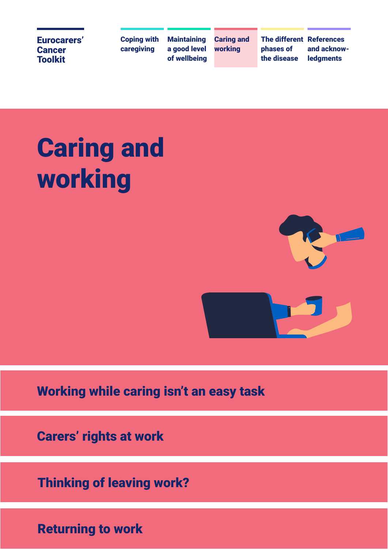Coping with caregiving

**Maintaining** a good level of wellbeing

Caring and working

The different References phases of the disease

and acknowledgments

# Caring and working



Working while caring isn't an easy task<br>Carers' rights at work<br>Thinking of leaving work?<br>Returning to work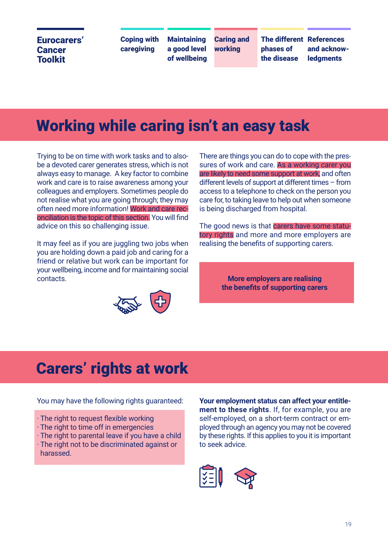Coping with caregiving

**Maintaining** a good level of wellbeing Caring and working

phases of the disease

The different References and acknow**ledaments** 

## Working while caring isn't an easy task

Trying to be on time with work tasks and to alsobe a devoted carer generates stress, which is not always easy to manage. A key factor to combine work and care is to raise awareness among your colleagues and employers. Sometimes people do not realise what you are going through; they may often need more information! Work and care reconciliation is the topic of this section. You will find advice on this so challenging issue.

It may feel as if you are juggling two jobs when you are holding down a paid job and caring for a friend or relative but work can be important for your wellbeing, income and for maintaining social contacts.



There are things you can do to cope with the pressures of work and care. As a working carer you are likely to need some support at work, and often different levels of support at different times – from access to a telephone to check on the person you care for, to taking leave to help out when someone is being discharged from hospital.

The good news is that carers have some statutory rights and more and more employers are realising the benefits of supporting carers.

> **More employers are realising the benefits of supporting carers**

## Carers' rights at work

You may have the following rights guaranteed:

- · The right to request flexible working
- · The right to time off in emergencies
- · The right to parental leave if you have a child
- · The right not to be discriminated against or harassed.

**Your employment status can affect your entitlement to these rights**. If, for example, you are self-employed, on a short-term contract or employed through an agency you may not be covered by these rights. If this applies to you it is important to seek advice.

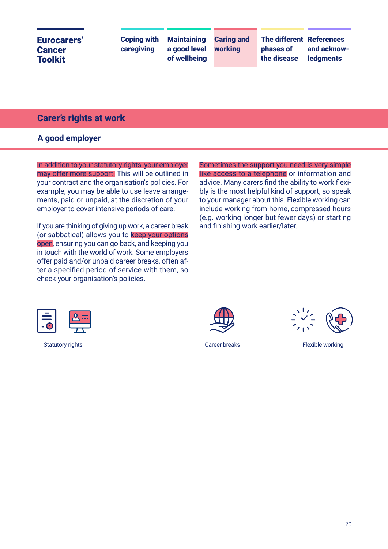| Eurocarers'<br><b>Cancer</b><br><b>Toolkit</b> | <b>Coping with</b><br>caregiving | <b>Maintaining</b><br>a good level working<br>of wellbeing | <b>Caring and</b> | The different References<br>phases of<br>the disease | and acknow-<br><b>ledgments</b> |
|------------------------------------------------|----------------------------------|------------------------------------------------------------|-------------------|------------------------------------------------------|---------------------------------|
|------------------------------------------------|----------------------------------|------------------------------------------------------------|-------------------|------------------------------------------------------|---------------------------------|

#### Carer's rights at work

#### **A good employer**

In addition to your statutory rights, your employer may offer more support. This will be outlined in your contract and the organisation's policies. For example, you may be able to use leave arrangements, paid or unpaid, at the discretion of your employer to cover intensive periods of care.

If you are thinking of giving up work, a career break (or sabbatical) allows you to **keep your options** open, ensuring you can go back, and keeping you in touch with the world of work. Some employers offer paid and/or unpaid career breaks, often after a specified period of service with them, so check your organisation's policies.

Sometimes the support you need is very simple like access to a telephone or information and advice. Many carers find the ability to work flexibly is the most helpful kind of support, so speak to your manager about this. Flexible working can include working from home, compressed hours (e.g. working longer but fewer days) or starting and finishing work earlier/later.





Statutory rights Career breaks Career breaks Flexible working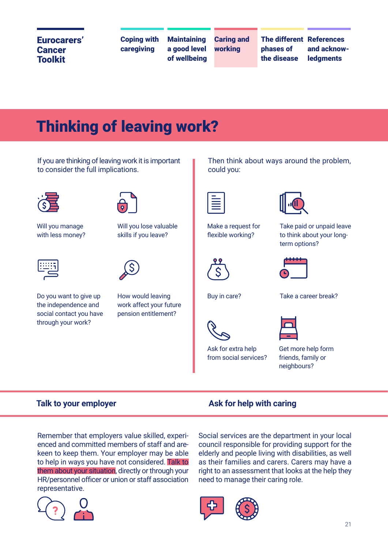Coping with caregiving

**Maintaining** a good level of wellbeing Caring and working

phases of the disease

The different References and acknow**ledaments** 

## Thinking of leaving work?

If you are thinking of leaving work it is important to consider the full implications.



Will you manage with less money?



Do you want to give up the independence and social contact you have through your work?



Will you lose valuable skills if you leave?



How would leaving work affect your future pension entitlement?

Then think about ways around the problem, could you:

Make a request for flexible working?



Buy in care?



term options?

Take paid or unpaid leave to think about your long-



Ask for extra help from social services?



Get more help form friends, family or neighbours?

#### **Talk to your employer Ask for help with caring**

Remember that employers value skilled, experienced and committed members of staff and arekeen to keep them. Your employer may be able to help in ways you have not considered. Talk to them about your situation, directly or through your HR/personnel officer or union or staff association representative.



Social services are the department in your local council responsible for providing support for the elderly and people living with disabilities, as well as their families and carers. Carers may have a right to an assessment that looks at the help they need to manage their caring role.

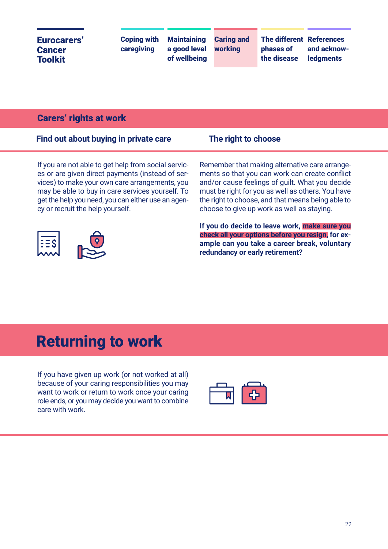#### Carers' rights at work

|  |  |  | Find out about buying in private care |  |
|--|--|--|---------------------------------------|--|
|  |  |  |                                       |  |

#### **The right to choose**

If you are not able to get help from social services or are given direct payments (instead of services) to make your own care arrangements, you may be able to buy in care services yourself. To get the help you need, you can either use an agency or recruit the help yourself.



Remember that making alternative care arrangements so that you can work can create conflict and/or cause feelings of guilt. What you decide must be right for you as well as others. You have the right to choose, and that means being able to choose to give up work as well as staying.

**If you do decide to leave work, make sure you check all your options before you resign, for example can you take a career break, voluntary redundancy or early retirement?**

## Returning to work

If you have given up work (or not worked at all) because of your caring responsibilities you may want to work or return to work once your caring role ends, or you may decide you want to combine care with work.

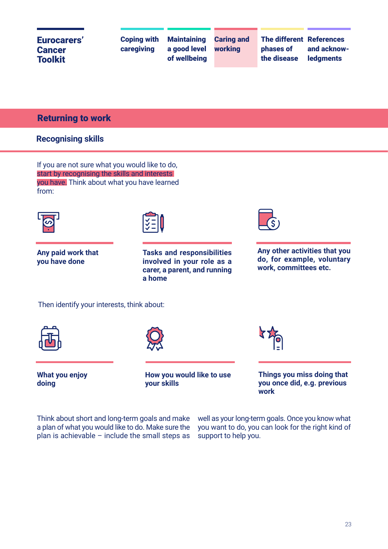Coping with caregiving **Maintaining** a good level of wellbeing

Caring and working

The different References phases of the disease

and acknowledgments

#### Returning to work

#### **Recognising skills**

If you are not sure what you would like to do, start by recognising the skills and interests you have. Think about what you have learned from:



**Any paid work that you have done**



**Tasks and responsibilities involved in your role as a carer, a parent, and running a home**



**Any other activities that you do, for example, voluntary work, committees etc.**

Then identify your interests, think about:





**What you enjoy doing**

**How you would like to use your skills**



**Things you miss doing that you once did, e.g. previous work**

Think about short and long-term goals and make a plan of what you would like to do. Make sure the plan is achievable  $-$  include the small steps as

well as your long-term goals. Once you know what you want to do, you can look for the right kind of support to help you.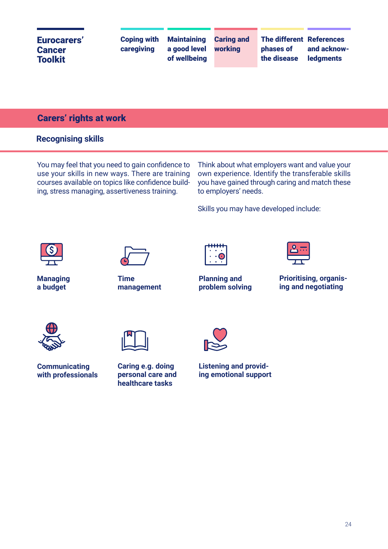#### Carers' rights at work

#### **Recognising skills**

You may feel that you need to gain confidence to use your skills in new ways. There are training courses available on topics like confidence building, stress managing, assertiveness training.

Think about what employers want and value your own experience. Identify the transferable skills you have gained through caring and match these to employers' needs.

Skills you may have developed include:





**Managing a budget**

**Time management**



**Planning and problem solving**



**Prioritising, organising and negotiating**





**Communicating with professionals** 

**Caring e.g. doing personal care and healthcare tasks**



**Listening and providing emotional support**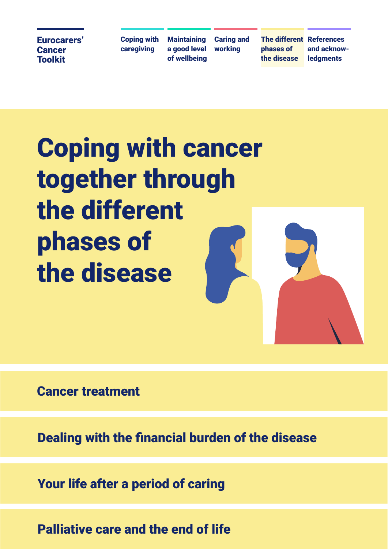Coping with caregiving

**Maintaining** a good level of wellbeing Caring and working

phases of the disease

The different References and acknow**ledaments** 

## Coping with cancer together through the different phases of the disease

Cancer treatment<br>Dealing with the financial burden of the disease<br>Your life after a period of caring<br>Palliative care and the end of life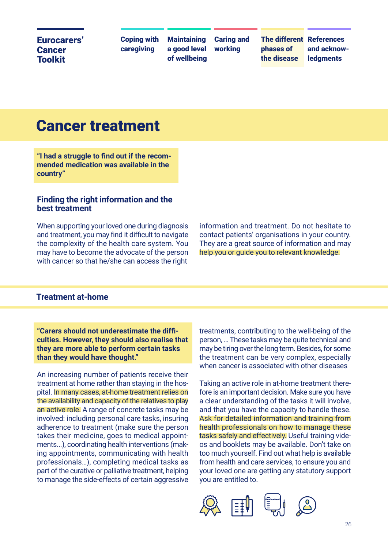Coping with caregiving

**Maintaining** a good level of wellbeing Caring and working

The different References phases of the disease

and acknow**ledaments** 

## Cancer treatment

**"I had a struggle to find out if the recommended medication was available in the country"**

#### **Finding the right information and the best treatment**

When supporting your loved one during diagnosis and treatment, you may find it difficult to navigate the complexity of the health care system. You may have to become the advocate of the person with cancer so that he/she can access the right

information and treatment. Do not hesitate to contact patients' organisations in your country. They are a great source of information and may help you or guide you to relevant knowledge.

#### **Treatment at-home**

**"Carers should not underestimate the difficulties. However, they should also realise that they are more able to perform certain tasks than they would have thought."**

An increasing number of patients receive their treatment at home rather than staying in the hospital. In many cases, at-home treatment relies on the availability and capacity of the relatives to play an active role. A range of concrete tasks may be involved: including personal care tasks, insuring adherence to treatment (make sure the person takes their medicine, goes to medical appointments...), coordinating health interventions (making appointments, communicating with health professionals…), completing medical tasks as part of the curative or palliative treatment, helping to manage the side-effects of certain aggressive

treatments, contributing to the well-being of the person, … These tasks may be quite technical and may be tiring over the long term. Besides, for some the treatment can be very complex, especially when cancer is associated with other diseases

Taking an active role in at-home treatment therefore is an important decision. Make sure you have a clear understanding of the tasks it will involve, and that you have the capacity to handle these. Ask for detailed information and training from health professionals on how to manage these tasks safely and effectively. Useful training videos and booklets may be available. Don't take on too much yourself. Find out what help is available from health and care services, to ensure you and your loved one are getting any statutory support you are entitled to.

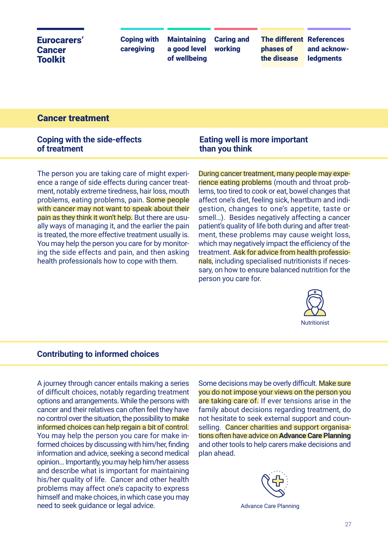| <b>Maintaining Caring and</b><br><b>The different References</b><br><b>Coping with</b><br>Eurocarers'<br>caregiving<br>a good level working<br>and acknow-<br>phases of<br><b>Cancer</b><br>of wellbeing<br>the disease<br><b>ledgments</b><br><b>Toolkit</b> |  |
|---------------------------------------------------------------------------------------------------------------------------------------------------------------------------------------------------------------------------------------------------------------|--|
|---------------------------------------------------------------------------------------------------------------------------------------------------------------------------------------------------------------------------------------------------------------|--|

#### Cancer treatment

#### **Coping with the side-effects of treatment**

The person you are taking care of might experience a range of side effects during cancer treatment, notably extreme tiredness, hair loss, mouth problems, eating problems, pain. Some people with cancer may not want to speak about their pain as they think it won't help. But there are usually ways of managing it, and the earlier the pain is treated, the more effective treatment usually is. You may help the person you care for by monitoring the side effects and pain, and then asking health professionals how to cope with them.

#### **Eating well is more important than you think**

During cancer treatment, many people may experience eating problems (mouth and throat problems, too tired to cook or eat, bowel changes that affect one's diet, feeling sick, heartburn and indigestion, changes to one's appetite, taste or smell…). Besides negatively affecting a cancer patient's quality of life both during and after treatment, these problems may cause weight loss, which may negatively impact the efficiency of the treatment. Ask for advice from health professionals, including specialised nutritionists if necessary, on how to ensure balanced nutrition for the person you care for.



#### **Contributing to informed choices**

A journey through cancer entails making a series of difficult choices, notably regarding treatment options and arrangements. While the persons with cancer and their relatives can often feel they have no control over the situation, the possibility to make informed choices can help regain a bit of control. You may help the person you care for make informed choices by discussing with him/her, finding information and advice, seeking a second medical opinion... Importantly, you may help him/her assess and describe what is important for maintaining his/her quality of life. Cancer and other health problems may affect one's capacity to express himself and make choices, in which case you may need to seek guidance or legal advice.

Some decisions may be overly difficult. Make sure you do not impose your views on the person you are taking care of. If ever tensions arise in the family about decisions regarding treatment, do not hesitate to seek external support and counselling. Cancer charities and support organisations often have advice on **Advance Care Planning**  and other tools to help carers make decisions and plan ahead.

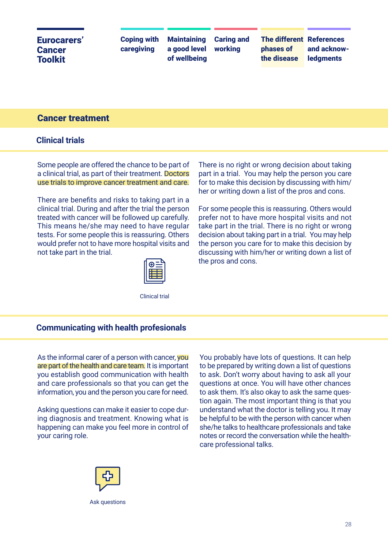#### Cancer treatment

#### **Clinical trials**

Some people are offered the chance to be part of a clinical trial, as part of their treatment. Doctors use trials to improve cancer treatment and care.

There are benefits and risks to taking part in a clinical trial. During and after the trial the person treated with cancer will be followed up carefully. This means he/she may need to have regular tests. For some people this is reassuring. Others would prefer not to have more hospital visits and not take part in the trial.



Clinical trial

There is no right or wrong decision about taking part in a trial. You may help the person you care for to make this decision by discussing with him/ her or writing down a list of the pros and cons.

For some people this is reassuring. Others would prefer not to have more hospital visits and not take part in the trial. There is no right or wrong decision about taking part in a trial. You may help the person you care for to make this decision by discussing with him/her or writing down a list of the pros and cons.

#### **Communicating with health profesionals**

As the informal carer of a person with cancer, you are part of the health and care team. It is important you establish good communication with health and care professionals so that you can get the information, you and the person you care for need.

Asking questions can make it easier to cope during diagnosis and treatment. Knowing what is happening can make you feel more in control of your caring role.

You probably have lots of questions. It can help to be prepared by writing down a list of questions to ask. Don't worry about having to ask all your questions at once. You will have other chances to ask them. It's also okay to ask the same question again. The most important thing is that you understand what the doctor is telling you. It may be helpful to be with the person with cancer when she/he talks to healthcare professionals and take notes or record the conversation while the healthcare professional talks.



Ask questions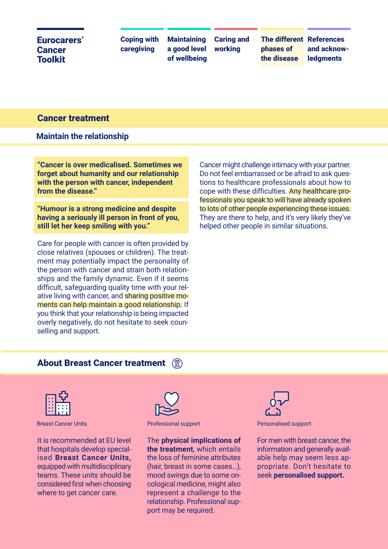Coping with caregiving

**Maintaining** a good level of wellbeing Caring and working

The different References phases of the disease

and acknow**ledaments** 

#### Cancer treatment

#### **Maintain the relationship**

**"Cancer is over medicalised. Sometimes we forget about humanity and our relationship with the person with cancer, independent from the disease."**

**"Humour is a strong medicine and despite having a seriously ill person in front of you, still let her keep smiling with you."**

Care for people with cancer is often provided by close relatives (spouses or children). The treatment may potentially impact the personality of the person with cancer and strain both relationships and the family dynamic. Even if it seems difficult, safeguarding quality time with your relative living with cancer, and sharing positive moments can help maintain a good relationship. If you think that your relationship is being impacted overly negatively, do not hesitate to seek counselling and support.

Cancer might challenge intimacy with your partner. Do not feel embarrassed or be afraid to ask questions to healthcare professionals about how to cope with these difficulties. Any healthcare professionals you speak to will have already spoken to lots of other people experiencing these issues. They are there to help, and it's very likely they've helped other people in similar situations.

#### About Breast Cancer treatment (



It is recommended at EU level that hospitals develop specialised **Breast Cancer Units,** equipped with multidisciplinary teams. These units should be considered first when choosing where to get cancer care.



The **physical implications of the treatment**, which entails the loss of feminine attributes (hair, breast in some cases…), mood swings due to some oncological medicine, might also represent a challenge to the relationship. Professional support may be required.



Breast Cancer Units **Professional support** Personalised support **Personalised support** 

For men with breast cancer, the information and generally available help may seem less appropriate. Don't hesitate to seek **personalised support.**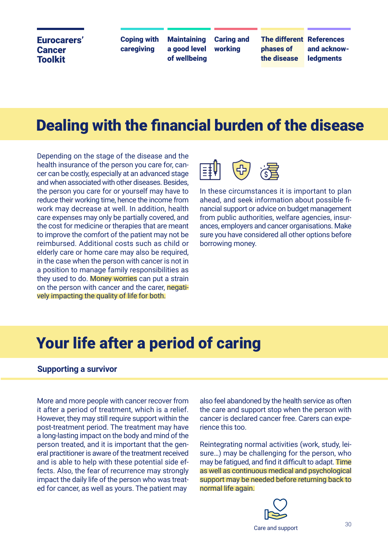Coping with caregiving

**Maintaining** a good level of wellbeing Caring and working

The different References phases of the disease

and acknow**ledaments** 

## Dealing with the financial burden of the disease

Depending on the stage of the disease and the health insurance of the person you care for, cancer can be costly, especially at an advanced stage and when associated with other diseases. Besides, the person you care for or yourself may have to reduce their working time, hence the income from work may decrease at well. In addition, health care expenses may only be partially covered, and the cost for medicine or therapies that are meant to improve the comfort of the patient may not be reimbursed. Additional costs such as child or elderly care or home care may also be required, in the case when the person with cancer is not in a position to manage family responsibilities as they used to do. Money worries can put a strain on the person with cancer and the carer, negatively impacting the quality of life for both.



In these circumstances it is important to plan ahead, and seek information about possible financial support or advice on budget management from public authorities, welfare agencies, insurances, employers and cancer organisations. Make sure you have considered all other options before borrowing money.

## Your life after a period of caring

#### **Supporting a survivor**

More and more people with cancer recover from it after a period of treatment, which is a relief. However, they may still require support within the post-treatment period. The treatment may have a long-lasting impact on the body and mind of the person treated, and it is important that the general practitioner is aware of the treatment received and is able to help with these potential side effects. Also, the fear of recurrence may strongly impact the daily life of the person who was treated for cancer, as well as yours. The patient may

also feel abandoned by the health service as often the care and support stop when the person with cancer is declared cancer free. Carers can experience this too.

Reintegrating normal activities (work, study, leisure…) may be challenging for the person, who may be fatigued, and find it difficult to adapt. Time as well as continuous medical and psychological support may be needed before returning back to normal life again.

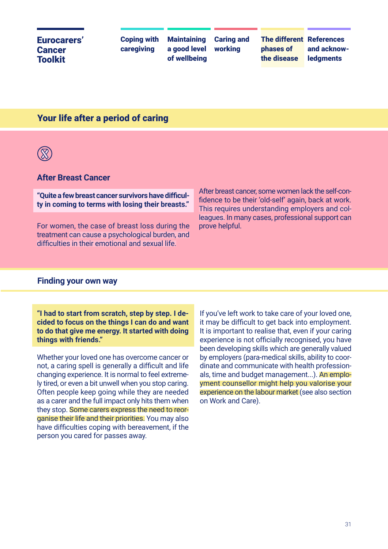#### Eurocarers' Cancer **Toolkit** Coping with caregiving The different References and acknow**ledaments Maintaining** a good level of wellbeing Caring and working phases of the disease

#### Your life after a period of caring



#### **After Breast Cancer**

**"Quite a few breast cancer survivors have difficulty in coming to terms with losing their breasts."**

For women, the case of breast loss during the treatment can cause a psychological burden, and difficulties in their emotional and sexual life.

After breast cancer, some women lack the self-confidence to be their 'old-self' again, back at work. This requires understanding employers and colleagues. In many cases, professional support can prove helpful.

#### **Finding your own way**

**"I had to start from scratch, step by step. I decided to focus on the things I can do and want to do that give me energy. It started with doing things with friends."**

Whether your loved one has overcome cancer or not, a caring spell is generally a difficult and life changing experience. It is normal to feel extremely tired, or even a bit unwell when you stop caring. Often people keep going while they are needed as a carer and the full impact only hits them when they stop. Some carers express the need to reorganise their life and their priorities. You may also have difficulties coping with bereavement, if the person you cared for passes away.

If you've left work to take care of your loved one, it may be difficult to get back into employment. It is important to realise that, even if your caring experience is not officially recognised, you have been developing skills which are generally valued by employers (para-medical skills, ability to coordinate and communicate with health professionals, time and budget management...). An employment counsellor might help you valorise your experience on the labour market (see also section on Work and Care).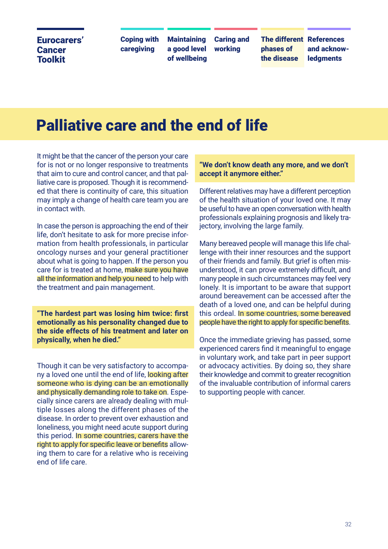Coping with caregiving

**Maintaining** a good level of wellbeing Caring and working

The different References phases of the disease

and acknow**ledaments** 

## Palliative care and the end of life

It might be that the cancer of the person your care for is not or no longer responsive to treatments that aim to cure and control cancer, and that palliative care is proposed. Though it is recommended that there is continuity of care, this situation may imply a change of health care team you are in contact with.

In case the person is approaching the end of their life, don't hesitate to ask for more precise information from health professionals, in particular oncology nurses and your general practitioner about what is going to happen. If the person you care for is treated at home, make sure you have all the information and help you need to help with the treatment and pain management.

**"The hardest part was losing him twice: first emotionally as his personality changed due to the side effects of his treatment and later on physically, when he died."**

Though it can be very satisfactory to accompany a loved one until the end of life, looking after someone who is dying can be an emotionally and physically demanding role to take on. Especially since carers are already dealing with multiple losses along the different phases of the disease. In order to prevent over exhaustion and loneliness, you might need acute support during this period. In some countries, carers have the right to apply for specific leave or benefits allowing them to care for a relative who is receiving end of life care.

#### **"We don't know death any more, and we don't accept it anymore either."**

Different relatives may have a different perception of the health situation of your loved one. It may be useful to have an open conversation with health professionals explaining prognosis and likely trajectory, involving the large family.

Many bereaved people will manage this life challenge with their inner resources and the support of their friends and family. But grief is often misunderstood, it can prove extremely difficult, and many people in such circumstances may feel very lonely. It is important to be aware that support around bereavement can be accessed after the death of a loved one, and can be helpful during this ordeal. In some countries, some bereaved people have the right to apply for specific benefits.

Once the immediate grieving has passed, some experienced carers find it meaningful to engage in voluntary work, and take part in peer support or advocacy activities. By doing so, they share their knowledge and commit to greater recognition of the invaluable contribution of informal carers to supporting people with cancer.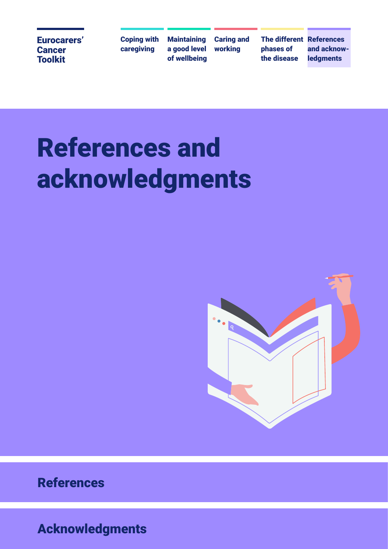Coping with caregiving

**Maintaining** a good level of wellbeing

Caring and working

The different References phases of the disease

and acknowledgments

# References and acknowledgments



References

Acknowledgments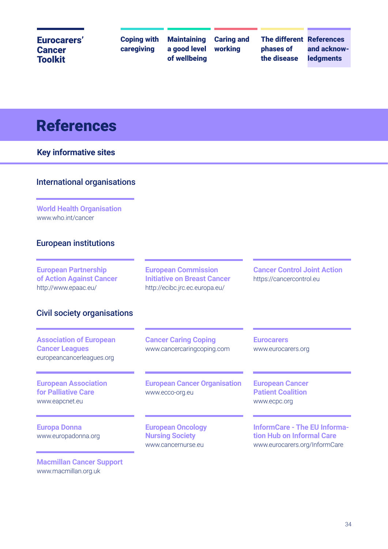| <b>Eurocarers'</b><br><b>Cancer</b><br><b>Toolkit</b>                                                                 | <b>Coping with</b><br>caregiving | <b>Maintaining</b><br>a good level<br>of wellbeing                                                 | <b>Caring and</b><br>working | <b>The different References</b><br>phases of<br>the disease        | and acknow-<br><b>ledgments</b> |
|-----------------------------------------------------------------------------------------------------------------------|----------------------------------|----------------------------------------------------------------------------------------------------|------------------------------|--------------------------------------------------------------------|---------------------------------|
| <b>References</b>                                                                                                     |                                  |                                                                                                    |                              |                                                                    |                                 |
| <b>Key informative sites</b>                                                                                          |                                  |                                                                                                    |                              |                                                                    |                                 |
| <b>International organisations</b>                                                                                    |                                  |                                                                                                    |                              |                                                                    |                                 |
| <b>World Health Organisation</b><br>www.who.int/cancer                                                                |                                  |                                                                                                    |                              |                                                                    |                                 |
|                                                                                                                       |                                  |                                                                                                    |                              |                                                                    |                                 |
| <b>European institutions</b>                                                                                          |                                  |                                                                                                    |                              |                                                                    |                                 |
|                                                                                                                       |                                  | <b>European Commission</b><br><b>Initiative on Breast Cancer</b><br>http://ecibc.jrc.ec.europa.eu/ |                              | <b>Cancer Control Joint Action</b><br>https://cancercontrol.eu     |                                 |
| <b>European Partnership</b><br>of Action Against Cancer<br>http://www.epaac.eu/<br><b>Civil society organisations</b> |                                  |                                                                                                    |                              |                                                                    |                                 |
| <b>Association of European</b><br><b>Cancer Leagues</b><br>europeancancerleagues.org                                  |                                  | <b>Cancer Caring Coping</b><br>www.cancercaringcoping.com                                          |                              | <b>Eurocarers</b><br>www.eurocarers.org                            |                                 |
| <b>European Association</b><br><b>for Palliative Care</b><br>www.eapcnet.eu                                           |                                  | <b>European Cancer Organisation</b><br>www.ecco-org.eu                                             |                              | <b>European Cancer</b><br><b>Patient Coalition</b><br>www.ecpc.org |                                 |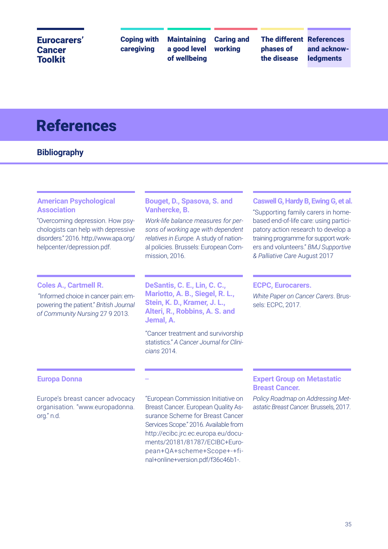Coping with caregiving

**Maintaining** a good level of wellbeing Caring and working

phases of the disease

The different References and acknow**ledaments** 

## References

#### **Bibliography**

#### **American Psychological Association**

"Overcoming depression. How psychologists can help with depressive disorders." 2016. http://www.apa.org/ helpcenter/depression.pdf.

#### **Coles A., Cartmell R.**

 "Informed choice in cancer pain: empowering the patient." *British Journal of Community Nursing* 27 9 2013.

#### **Bouget, D., Spasova, S. and Vanhercke, B.**

*Work-life balance measures for persons of working age with dependent relatives in Europe.* A study of national policies. Brussels: European Commission, 2016.

**DeSantis, C. E., Lin, C. C., Mariotto, A. B., Siegel, R. L., Stein, K. D., Kramer, J. L., Alteri, R., Robbins, A. S. and Jemal, A.**

"Cancer treatment and survivorship statistics." *A Cancer Journal for Clinicians* 2014.

**–**

#### **Caswell G, Hardy B, Ewing G, et al.**

"Supporting family carers in homebased end-of-life care: using participatory action research to develop a training programme for support workers and volunteers." *BMJ Supportive & Palliative Care* August 2017

#### **ECPC, Eurocarers.**

*White Paper on Cancer Carers*. Brussels: ECPC, 2017.

#### **Europa Donna**

Europe's breast cancer advocacy organisation. "www.europadonna. org." n.d.

"European Commission Initiative on Breast Cancer. European Quality Assurance Scheme for Breast Cancer Services Scope." 2016. Available from http://ecibc.jrc.ec.europa.eu/documents/20181/81787/ECIBC+European+QA+scheme+Scope+-+final+online+version.pdf/f36c46b1-.

#### **Expert Group on Metastatic Breast Cancer.**

*Policy Roadmap on Addressing Metastatic Breast Cancer.* Brussels, 2017.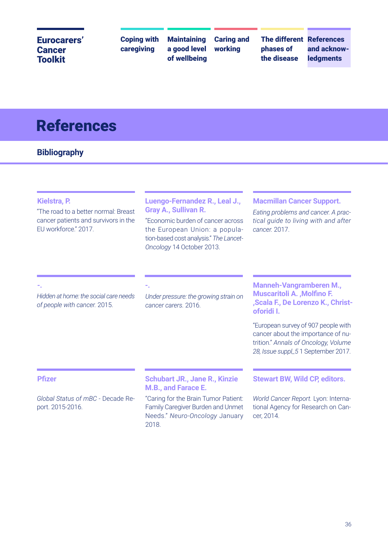Coping with caregiving

**Maintaining** a good level of wellbeing Caring and working

phases of the disease

The different References and acknowledgments

## References

#### **Bibliography**

#### **Kielstra, P.**

"The road to a better normal: Breast cancer patients and survivors in the EU workforce." 2017.

#### **Luengo-Fernandez R., Leal J., Gray A., Sullivan R.**

"Economic burden of cancer across the European Union: a population-based cost analysis." *The Lancet-Oncology* 14 October 2013.

#### **Macmillan Cancer Support.**

*Eating problems and cancer. A practical guide to living with and after cancer.* 2017.

**-.**

*Hidden at home: the social care needs of people with cancer.* 2015.

*Under pressure: the growing strain on cancer carers.* 2016.

**-.**

#### **Manneh-Vangramberen M., Muscaritoli A. ,Molfino F. ,Scala F., De Lorenzo K., Christoforidi I.**

"European survey of 907 people with cancer about the importance of nutrition." *Annals of Oncology, Volume 28, Issue suppl\_5* 1 September 2017.

#### **Pfizer**

*Global Status of mBC* - Decade Report. 2015-2016.

**Schubart JR., Jane R., Kinzie M.B., and Farace E.**

"Caring for the Brain Tumor Patient: Family Caregiver Burden and Unmet Needs." *Neuro-Oncology* January 2018.

**Stewart BW, Wild CP, editors.**

*World Cancer Report.* Lyon: International Agency for Research on Cancer, 2014.